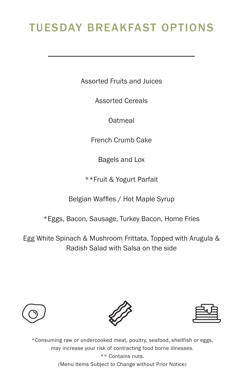## TUESDAY BREAKFAST OPTIONS

Assorted Fruits and Juices

Assorted Cereals

Oatmeal

French Crumb Cake

Bagels and Lox

\*\*Fruit & Yogurt Parfait

Belgian Waffles / Hot Maple Syrup

\*Eggs, Bacon, Sausage, Turkey Bacon, Home Fries

Egg White Spinach & Mushroom Frittata, Topped with Arugula & Radish Salad with Salsa on the side







\*Consuming raw or undercooked meat, poultry, seafood, shellfish or eggs, may increase your risk of contracting food borne illnesses. \*\* Contains nuts. (Menu Items Subject to Change without Prior Notice)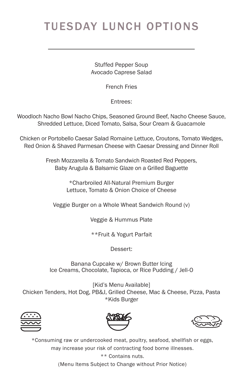## TUESDAY LUNCH OPTIONS

Stuffed Pepper Soup Avocado Caprese Salad

French Fries

Entrees:

Woodloch Nacho Bowl Nacho Chips, Seasoned Ground Beef, Nacho Cheese Sauce, Shredded Lettuce, Diced Tomato, Salsa, Sour Cream & Guacamole

Chicken or Portobello Caesar Salad Romaine Lettuce, Croutons, Tomato Wedges, Red Onion & Shaved Parmesan Cheese with Caesar Dressing and Dinner Roll

> Fresh Mozzarella & Tomato Sandwich Roasted Red Peppers, Baby Arugula & Balsamic Glaze on a Grilled Baguette

> > \*Charbroiled All-Natural Premium Burger Lettuce, Tomato & Onion Choice of Cheese

Veggie Burger on a Whole Wheat Sandwich Round (v)

Veggie & Hummus Plate

\*\*Fruit & Yogurt Parfait

Dessert:

Banana Cupcake w/ Brown Butter Icing Ice Creams, Chocolate, Tapioca, or Rice Pudding / Jell-O

[Kid's Menu Available] Chicken Tenders, Hot Dog, PB&J, Grilled Cheese, Mac & Cheese, Pizza, Pasta \*Kids Burger







\*Consuming raw or undercooked meat, poultry, seafood, shellfish or eggs, may increase your risk of contracting food borne illnesses. \*\* Contains nuts. (Menu Items Subject to Change without Prior Notice)